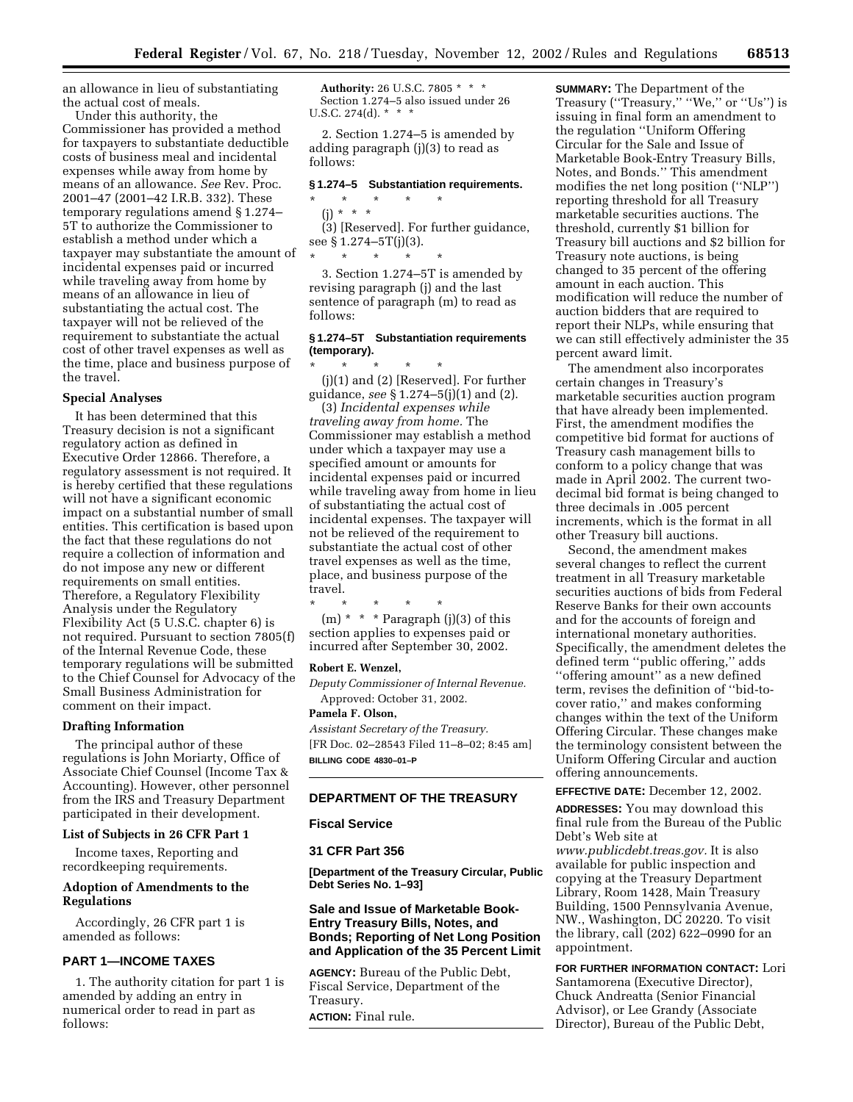an allowance in lieu of substantiating the actual cost of meals.

Under this authority, the Commissioner has provided a method for taxpayers to substantiate deductible costs of business meal and incidental expenses while away from home by means of an allowance. *See* Rev. Proc. 2001–47 (2001–42 I.R.B. 332). These temporary regulations amend § 1.274– 5T to authorize the Commissioner to establish a method under which a taxpayer may substantiate the amount of incidental expenses paid or incurred while traveling away from home by means of an allowance in lieu of substantiating the actual cost. The taxpayer will not be relieved of the requirement to substantiate the actual cost of other travel expenses as well as the time, place and business purpose of the travel.

### **Special Analyses**

It has been determined that this Treasury decision is not a significant regulatory action as defined in Executive Order 12866. Therefore, a regulatory assessment is not required. It is hereby certified that these regulations will not have a significant economic impact on a substantial number of small entities. This certification is based upon the fact that these regulations do not require a collection of information and do not impose any new or different requirements on small entities. Therefore, a Regulatory Flexibility Analysis under the Regulatory Flexibility Act (5 U.S.C. chapter 6) is not required. Pursuant to section 7805(f) of the Internal Revenue Code, these temporary regulations will be submitted to the Chief Counsel for Advocacy of the Small Business Administration for comment on their impact.

### **Drafting Information**

The principal author of these regulations is John Moriarty, Office of Associate Chief Counsel (Income Tax & Accounting). However, other personnel from the IRS and Treasury Department participated in their development.

### **List of Subjects in 26 CFR Part 1**

Income taxes, Reporting and recordkeeping requirements.

# **Adoption of Amendments to the Regulations**

Accordingly, 26 CFR part 1 is amended as follows:

## **PART 1—INCOME TAXES**

1. The authority citation for part 1 is amended by adding an entry in numerical order to read in part as follows:

**Authority:** 26 U.S.C. 7805 \* \* \* Section 1.274–5 also issued under 26 U.S.C. 274(d). \* \* \*

2. Section 1.274–5 is amended by adding paragraph (j)(3) to read as follows:

### **§ 1.274–5 Substantiation requirements.**

\* \* \* \* \* (j) \* \* \* (3) [Reserved]. For further guidance, see § 1.274–5T(j)(3). \* \* \* \* \*

3. Section 1.274–5T is amended by revising paragraph (j) and the last sentence of paragraph (m) to read as follows:

# **§ 1.274–5T Substantiation requirements (temporary).**

\* \* \* \* \* (j)(1) and (2) [Reserved]. For further guidance, *see* § 1.274–5(j)(1) and (2).

(3) *Incidental expenses while traveling away from home.* The Commissioner may establish a method under which a taxpayer may use a specified amount or amounts for incidental expenses paid or incurred while traveling away from home in lieu of substantiating the actual cost of incidental expenses. The taxpayer will not be relieved of the requirement to substantiate the actual cost of other travel expenses as well as the time, place, and business purpose of the travel.

\* \* \* \* \* (m) \* \* \* Paragraph (j)(3) of this section applies to expenses paid or incurred after September 30, 2002.

#### **Robert E. Wenzel,**

*Deputy Commissioner of Internal Revenue.*  Approved: October 31, 2002.

**Pamela F. Olson,**  *Assistant Secretary of the Treasury.*

[FR Doc. 02–28543 Filed 11–8–02; 8:45 am] **BILLING CODE 4830–01–P**

# **DEPARTMENT OF THE TREASURY**

#### **Fiscal Service**

#### **31 CFR Part 356**

**[Department of the Treasury Circular, Public Debt Series No. 1–93]** 

# **Sale and Issue of Marketable Book-Entry Treasury Bills, Notes, and Bonds; Reporting of Net Long Position and Application of the 35 Percent Limit**

**AGENCY:** Bureau of the Public Debt, Fiscal Service, Department of the Treasury. **ACTION:** Final rule.

**SUMMARY:** The Department of the Treasury (''Treasury,'' ''We,'' or ''Us'') is issuing in final form an amendment to the regulation ''Uniform Offering Circular for the Sale and Issue of Marketable Book-Entry Treasury Bills, Notes, and Bonds.'' This amendment modifies the net long position (''NLP'') reporting threshold for all Treasury marketable securities auctions. The threshold, currently \$1 billion for Treasury bill auctions and \$2 billion for Treasury note auctions, is being changed to 35 percent of the offering amount in each auction. This modification will reduce the number of auction bidders that are required to report their NLPs, while ensuring that we can still effectively administer the 35 percent award limit.

The amendment also incorporates certain changes in Treasury's marketable securities auction program that have already been implemented. First, the amendment modifies the competitive bid format for auctions of Treasury cash management bills to conform to a policy change that was made in April 2002. The current twodecimal bid format is being changed to three decimals in .005 percent increments, which is the format in all other Treasury bill auctions.

Second, the amendment makes several changes to reflect the current treatment in all Treasury marketable securities auctions of bids from Federal Reserve Banks for their own accounts and for the accounts of foreign and international monetary authorities. Specifically, the amendment deletes the defined term ''public offering,'' adds ''offering amount'' as a new defined term, revises the definition of ''bid-tocover ratio,'' and makes conforming changes within the text of the Uniform Offering Circular. These changes make the terminology consistent between the Uniform Offering Circular and auction offering announcements.

#### **EFFECTIVE DATE:** December 12, 2002.

**ADDRESSES:** You may download this final rule from the Bureau of the Public Debt's Web site at

*[www.publicdebt.treas.gov.](http://www.publicdebt.treas.gov)* It is also available for public inspection and copying at the Treasury Department Library, Room 1428, Main Treasury Building, 1500 Pennsylvania Avenue, NW., Washington, DC 20220. To visit the library, call (202) 622–0990 for an appointment.

**FOR FURTHER INFORMATION CONTACT:** Lori Santamorena (Executive Director), Chuck Andreatta (Senior Financial Advisor), or Lee Grandy (Associate Director), Bureau of the Public Debt,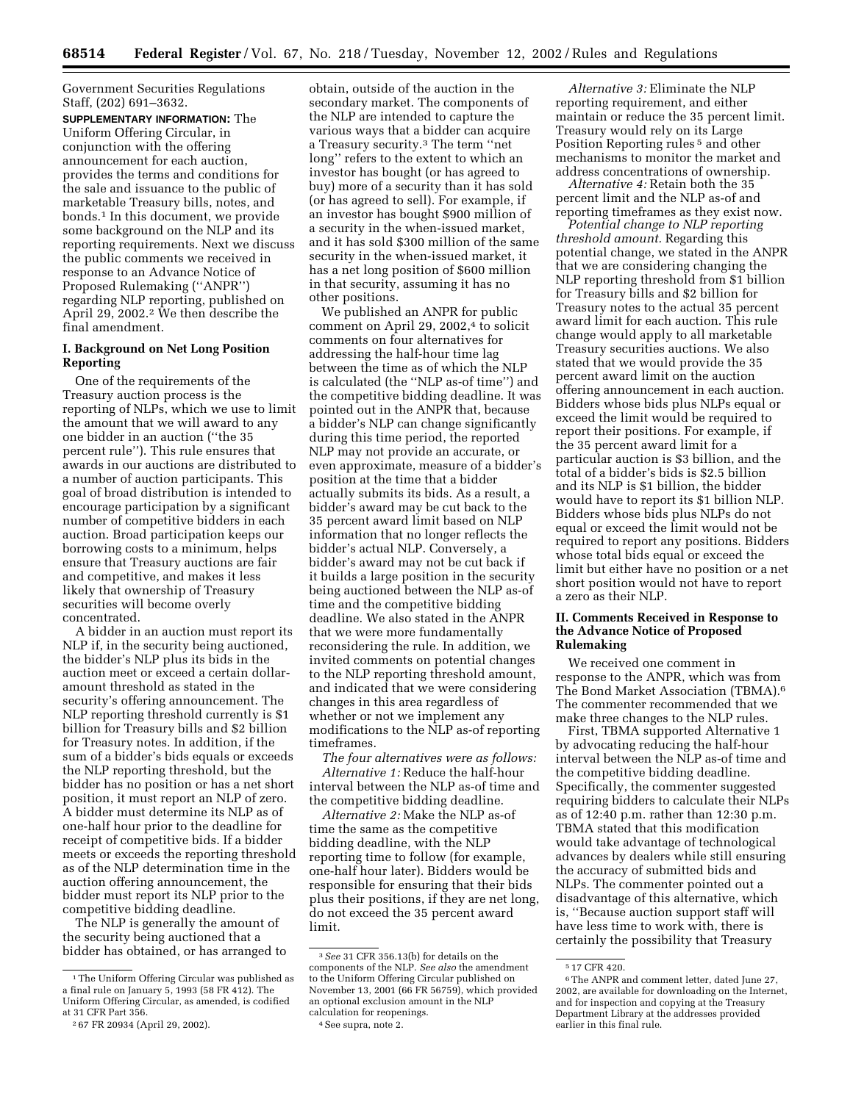Government Securities Regulations Staff, (202) 691–3632.

**SUPPLEMENTARY INFORMATION:** The Uniform Offering Circular, in conjunction with the offering announcement for each auction, provides the terms and conditions for the sale and issuance to the public of marketable Treasury bills, notes, and bonds.1 In this document, we provide some background on the NLP and its reporting requirements. Next we discuss the public comments we received in response to an Advance Notice of Proposed Rulemaking (''ANPR'') regarding NLP reporting, published on April 29, 2002.2 We then describe the final amendment.

# **I. Background on Net Long Position Reporting**

One of the requirements of the Treasury auction process is the reporting of NLPs, which we use to limit the amount that we will award to any one bidder in an auction (''the 35 percent rule''). This rule ensures that awards in our auctions are distributed to a number of auction participants. This goal of broad distribution is intended to encourage participation by a significant number of competitive bidders in each auction. Broad participation keeps our borrowing costs to a minimum, helps ensure that Treasury auctions are fair and competitive, and makes it less likely that ownership of Treasury securities will become overly concentrated.

A bidder in an auction must report its NLP if, in the security being auctioned, the bidder's NLP plus its bids in the auction meet or exceed a certain dollaramount threshold as stated in the security's offering announcement. The NLP reporting threshold currently is \$1 billion for Treasury bills and \$2 billion for Treasury notes. In addition, if the sum of a bidder's bids equals or exceeds the NLP reporting threshold, but the bidder has no position or has a net short position, it must report an NLP of zero. A bidder must determine its NLP as of one-half hour prior to the deadline for receipt of competitive bids. If a bidder meets or exceeds the reporting threshold as of the NLP determination time in the auction offering announcement, the bidder must report its NLP prior to the competitive bidding deadline.

The NLP is generally the amount of the security being auctioned that a bidder has obtained, or has arranged to

obtain, outside of the auction in the secondary market. The components of the NLP are intended to capture the various ways that a bidder can acquire a Treasury security.3 The term ''net long'' refers to the extent to which an investor has bought (or has agreed to buy) more of a security than it has sold (or has agreed to sell). For example, if an investor has bought \$900 million of a security in the when-issued market, and it has sold \$300 million of the same security in the when-issued market, it has a net long position of \$600 million in that security, assuming it has no other positions.

We published an ANPR for public comment on April 29, 2002, $4$  to solicit comments on four alternatives for addressing the half-hour time lag between the time as of which the NLP is calculated (the ''NLP as-of time'') and the competitive bidding deadline. It was pointed out in the ANPR that, because a bidder's NLP can change significantly during this time period, the reported NLP may not provide an accurate, or even approximate, measure of a bidder's position at the time that a bidder actually submits its bids. As a result, a bidder's award may be cut back to the 35 percent award limit based on NLP information that no longer reflects the bidder's actual NLP. Conversely, a bidder's award may not be cut back if it builds a large position in the security being auctioned between the NLP as-of time and the competitive bidding deadline. We also stated in the ANPR that we were more fundamentally reconsidering the rule. In addition, we invited comments on potential changes to the NLP reporting threshold amount, and indicated that we were considering changes in this area regardless of whether or not we implement any modifications to the NLP as-of reporting timeframes.

*The four alternatives were as follows: Alternative 1:* Reduce the half-hour interval between the NLP as-of time and the competitive bidding deadline.

*Alternative 2:* Make the NLP as-of time the same as the competitive bidding deadline, with the NLP reporting time to follow (for example, one-half hour later). Bidders would be responsible for ensuring that their bids plus their positions, if they are net long, do not exceed the 35 percent award limit.

*Alternative 3:* Eliminate the NLP reporting requirement, and either maintain or reduce the 35 percent limit. Treasury would rely on its Large Position Reporting rules 5 and other mechanisms to monitor the market and address concentrations of ownership.

*Alternative 4:* Retain both the 35 percent limit and the NLP as-of and reporting timeframes as they exist now.

*Potential change to NLP reporting threshold amount.* Regarding this potential change, we stated in the ANPR that we are considering changing the NLP reporting threshold from \$1 billion for Treasury bills and \$2 billion for Treasury notes to the actual 35 percent award limit for each auction. This rule change would apply to all marketable Treasury securities auctions. We also stated that we would provide the 35 percent award limit on the auction offering announcement in each auction. Bidders whose bids plus NLPs equal or exceed the limit would be required to report their positions. For example, if the 35 percent award limit for a particular auction is \$3 billion, and the total of a bidder's bids is \$2.5 billion and its NLP is \$1 billion, the bidder would have to report its \$1 billion NLP. Bidders whose bids plus NLPs do not equal or exceed the limit would not be required to report any positions. Bidders whose total bids equal or exceed the limit but either have no position or a net short position would not have to report a zero as their NLP.

## **II. Comments Received in Response to the Advance Notice of Proposed Rulemaking**

We received one comment in response to the ANPR, which was from The Bond Market Association (TBMA).6 The commenter recommended that we make three changes to the NLP rules.

First, TBMA supported Alternative 1 by advocating reducing the half-hour interval between the NLP as-of time and the competitive bidding deadline. Specifically, the commenter suggested requiring bidders to calculate their NLPs as of 12:40 p.m. rather than 12:30 p.m. TBMA stated that this modification would take advantage of technological advances by dealers while still ensuring the accuracy of submitted bids and NLPs. The commenter pointed out a disadvantage of this alternative, which is, ''Because auction support staff will have less time to work with, there is certainly the possibility that Treasury

<sup>1</sup>The Uniform Offering Circular was published as a final rule on January 5, 1993 (58 FR 412). The Uniform Offering Circular, as amended, is codified at 31 CFR Part 356.

<sup>2</sup> 67 FR 20934 (April 29, 2002).

<sup>3</sup>*See* 31 CFR 356.13(b) for details on the components of the NLP. *See also* the amendment to the Uniform Offering Circular published on November 13, 2001 (66 FR 56759), which provided an optional exclusion amount in the NLP calculation for reopenings.

<sup>4</sup>See supra, note 2.

<sup>5</sup> 17 CFR 420.

<sup>6</sup>The ANPR and comment letter, dated June 27, 2002, are available for downloading on the Internet, and for inspection and copying at the Treasury Department Library at the addresses provided earlier in this final rule.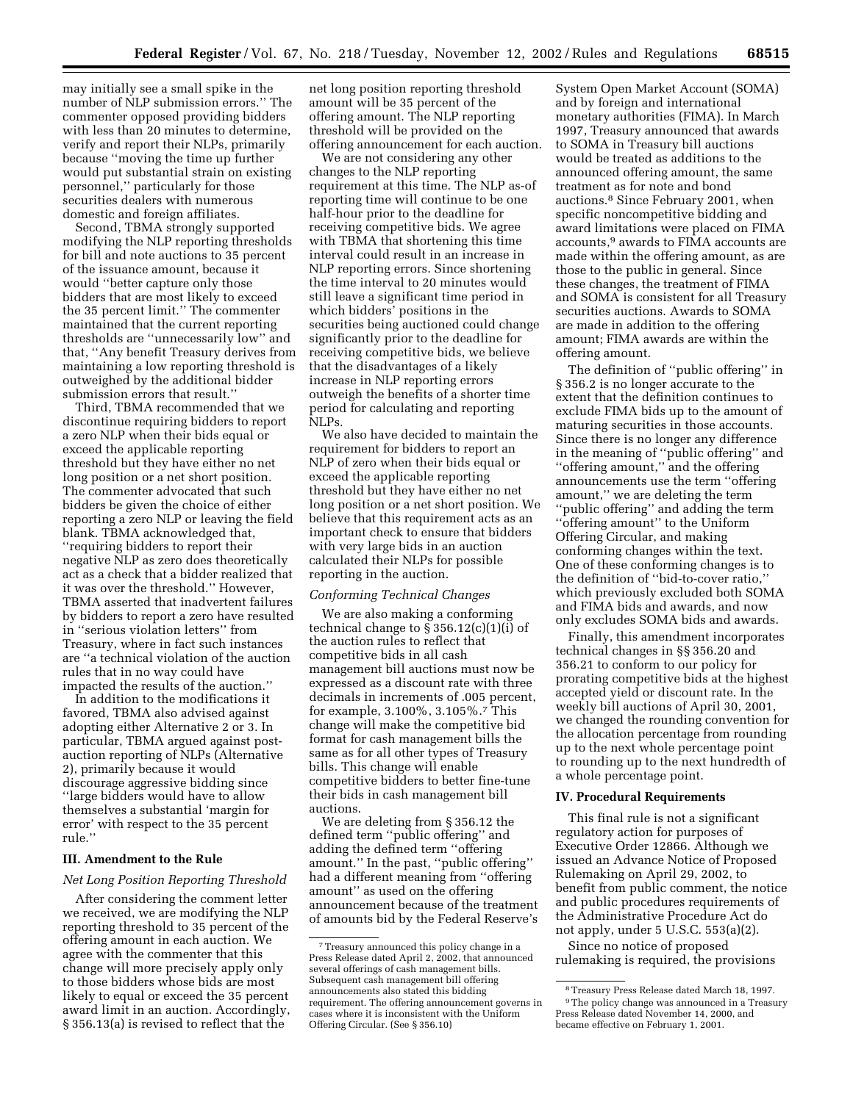may initially see a small spike in the number of NLP submission errors.'' The commenter opposed providing bidders with less than 20 minutes to determine, verify and report their NLPs, primarily because ''moving the time up further would put substantial strain on existing personnel,'' particularly for those securities dealers with numerous domestic and foreign affiliates.

Second, TBMA strongly supported modifying the NLP reporting thresholds for bill and note auctions to 35 percent of the issuance amount, because it would ''better capture only those bidders that are most likely to exceed the 35 percent limit.'' The commenter maintained that the current reporting thresholds are ''unnecessarily low'' and that, ''Any benefit Treasury derives from maintaining a low reporting threshold is outweighed by the additional bidder submission errors that result.''

Third, TBMA recommended that we discontinue requiring bidders to report a zero NLP when their bids equal or exceed the applicable reporting threshold but they have either no net long position or a net short position. The commenter advocated that such bidders be given the choice of either reporting a zero NLP or leaving the field blank. TBMA acknowledged that, ''requiring bidders to report their negative NLP as zero does theoretically act as a check that a bidder realized that it was over the threshold.'' However, TBMA asserted that inadvertent failures by bidders to report a zero have resulted in ''serious violation letters'' from Treasury, where in fact such instances are ''a technical violation of the auction rules that in no way could have impacted the results of the auction.''

In addition to the modifications it favored, TBMA also advised against adopting either Alternative 2 or 3. In particular, TBMA argued against postauction reporting of NLPs (Alternative 2), primarily because it would discourage aggressive bidding since ''large bidders would have to allow themselves a substantial 'margin for error' with respect to the 35 percent rule.''

### **III. Amendment to the Rule**

### *Net Long Position Reporting Threshold*

After considering the comment letter we received, we are modifying the NLP reporting threshold to 35 percent of the offering amount in each auction. We agree with the commenter that this change will more precisely apply only to those bidders whose bids are most likely to equal or exceed the 35 percent award limit in an auction. Accordingly, § 356.13(a) is revised to reflect that the

net long position reporting threshold amount will be 35 percent of the offering amount. The NLP reporting threshold will be provided on the offering announcement for each auction.

We are not considering any other changes to the NLP reporting requirement at this time. The NLP as-of reporting time will continue to be one half-hour prior to the deadline for receiving competitive bids. We agree with TBMA that shortening this time interval could result in an increase in NLP reporting errors. Since shortening the time interval to 20 minutes would still leave a significant time period in which bidders' positions in the securities being auctioned could change significantly prior to the deadline for receiving competitive bids, we believe that the disadvantages of a likely increase in NLP reporting errors outweigh the benefits of a shorter time period for calculating and reporting NLPs.

We also have decided to maintain the requirement for bidders to report an NLP of zero when their bids equal or exceed the applicable reporting threshold but they have either no net long position or a net short position. We believe that this requirement acts as an important check to ensure that bidders with very large bids in an auction calculated their NLPs for possible reporting in the auction.

## *Conforming Technical Changes*

We are also making a conforming technical change to  $\S 356.12(c)(1)(i)$  of the auction rules to reflect that competitive bids in all cash management bill auctions must now be expressed as a discount rate with three decimals in increments of .005 percent, for example, 3.100%, 3.105%.7 This change will make the competitive bid format for cash management bills the same as for all other types of Treasury bills. This change will enable competitive bidders to better fine-tune their bids in cash management bill auctions.

We are deleting from § 356.12 the defined term ''public offering'' and adding the defined term ''offering amount.'' In the past, ''public offering'' had a different meaning from ''offering amount'' as used on the offering announcement because of the treatment of amounts bid by the Federal Reserve's

System Open Market Account (SOMA) and by foreign and international monetary authorities (FIMA). In March 1997, Treasury announced that awards to SOMA in Treasury bill auctions would be treated as additions to the announced offering amount, the same treatment as for note and bond auctions.8 Since February 2001, when specific noncompetitive bidding and award limitations were placed on FIMA accounts,9 awards to FIMA accounts are made within the offering amount, as are those to the public in general. Since these changes, the treatment of FIMA and SOMA is consistent for all Treasury securities auctions. Awards to SOMA are made in addition to the offering amount; FIMA awards are within the offering amount.

The definition of ''public offering'' in § 356.2 is no longer accurate to the extent that the definition continues to exclude FIMA bids up to the amount of maturing securities in those accounts. Since there is no longer any difference in the meaning of ''public offering'' and ''offering amount,'' and the offering announcements use the term ''offering amount,'' we are deleting the term ''public offering'' and adding the term ''offering amount'' to the Uniform Offering Circular, and making conforming changes within the text. One of these conforming changes is to the definition of ''bid-to-cover ratio,'' which previously excluded both SOMA and FIMA bids and awards, and now only excludes SOMA bids and awards.

Finally, this amendment incorporates technical changes in §§ 356.20 and 356.21 to conform to our policy for prorating competitive bids at the highest accepted yield or discount rate. In the weekly bill auctions of April 30, 2001, we changed the rounding convention for the allocation percentage from rounding up to the next whole percentage point to rounding up to the next hundredth of a whole percentage point.

# **IV. Procedural Requirements**

This final rule is not a significant regulatory action for purposes of Executive Order 12866. Although we issued an Advance Notice of Proposed Rulemaking on April 29, 2002, to benefit from public comment, the notice and public procedures requirements of the Administrative Procedure Act do not apply, under 5 U.S.C. 553(a)(2).

Since no notice of proposed rulemaking is required, the provisions

<sup>7</sup>Treasury announced this policy change in a Press Release dated April 2, 2002, that announced several offerings of cash management bills. Subsequent cash management bill offering announcements also stated this bidding requirement. The offering announcement governs in cases where it is inconsistent with the Uniform Offering Circular. (See § 356.10)

<sup>8</sup>Treasury Press Release dated March 18, 1997. <sup>9</sup>The policy change was announced in a Treasury Press Release dated November 14, 2000, and became effective on February 1, 2001.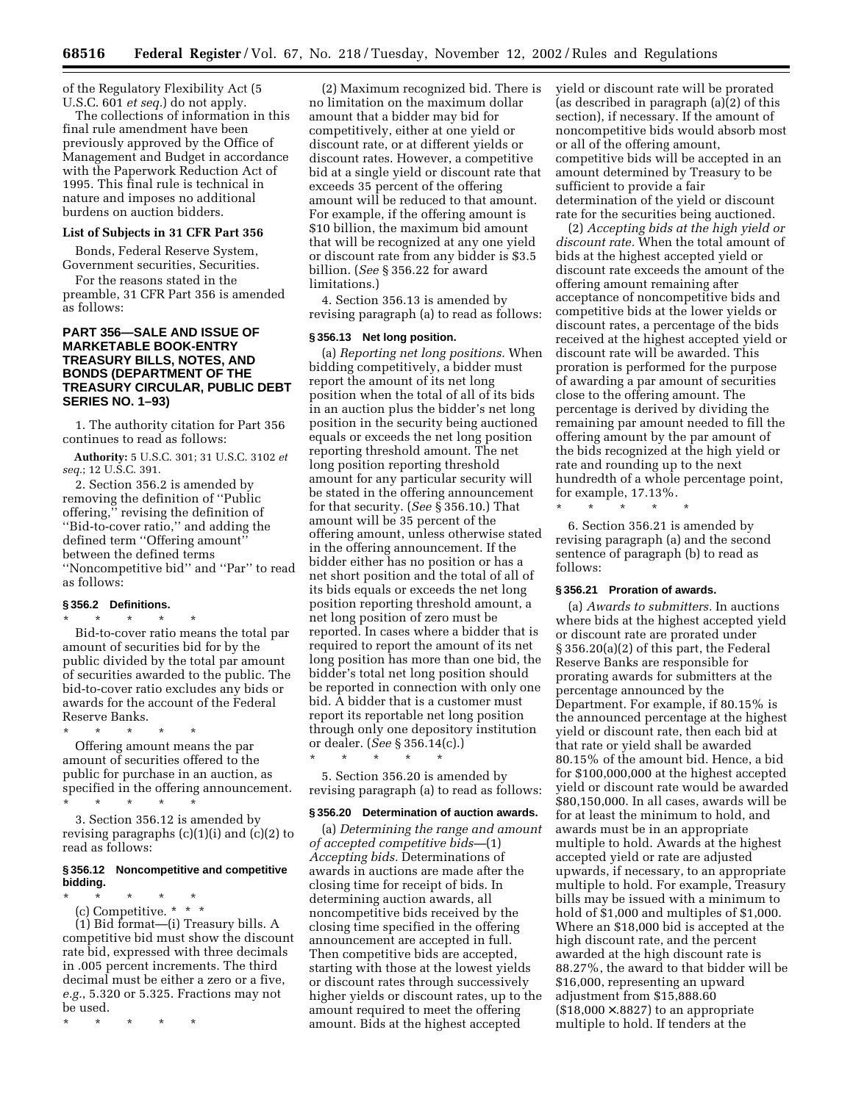of the Regulatory Flexibility Act (5 U.S.C. 601 *et seq.*) do not apply.

The collections of information in this final rule amendment have been previously approved by the Office of Management and Budget in accordance with the Paperwork Reduction Act of 1995. This final rule is technical in nature and imposes no additional burdens on auction bidders.

# **List of Subjects in 31 CFR Part 356**

Bonds, Federal Reserve System, Government securities, Securities.

For the reasons stated in the preamble, 31 CFR Part 356 is amended as follows:

# **PART 356—SALE AND ISSUE OF MARKETABLE BOOK-ENTRY TREASURY BILLS, NOTES, AND BONDS (DEPARTMENT OF THE TREASURY CIRCULAR, PUBLIC DEBT SERIES NO. 1–93)**

1. The authority citation for Part 356 continues to read as follows:

**Authority:** 5 U.S.C. 301; 31 U.S.C. 3102 *et seq.*; 12 U.S.C. 391.

2. Section 356.2 is amended by removing the definition of ''Public offering,'' revising the definition of ''Bid-to-cover ratio,'' and adding the defined term ''Offering amount'' between the defined terms ''Noncompetitive bid'' and ''Par'' to read as follows:

# **§ 356.2 Definitions.**

\* \* \* \* \* Bid-to-cover ratio means the total par amount of securities bid for by the public divided by the total par amount of securities awarded to the public. The bid-to-cover ratio excludes any bids or awards for the account of the Federal Reserve Banks.

\* \* \* \* \* Offering amount means the par amount of securities offered to the public for purchase in an auction, as specified in the offering announcement. \* \* \* \* \*

3. Section 356.12 is amended by revising paragraphs  $(c)(1)(i)$  and  $(c)(2)$  to read as follows:

# **§ 356.12 Noncompetitive and competitive bidding.**

\* \* \* \* \*

(c) Competitive. \* \* \* (1) Bid format—(i) Treasury bills. A competitive bid must show the discount rate bid, expressed with three decimals in .005 percent increments. The third decimal must be either a zero or a five, *e.g.*, 5.320 or 5.325. Fractions may not be used.

\* \* \* \* \*

(2) Maximum recognized bid. There is no limitation on the maximum dollar amount that a bidder may bid for competitively, either at one yield or discount rate, or at different yields or discount rates. However, a competitive bid at a single yield or discount rate that exceeds 35 percent of the offering amount will be reduced to that amount. For example, if the offering amount is \$10 billion, the maximum bid amount that will be recognized at any one yield or discount rate from any bidder is \$3.5 billion. (*See* § 356.22 for award limitations.)

4. Section 356.13 is amended by revising paragraph (a) to read as follows:

### **§ 356.13 Net long position.**

(a) *Reporting net long positions.* When bidding competitively, a bidder must report the amount of its net long position when the total of all of its bids in an auction plus the bidder's net long position in the security being auctioned equals or exceeds the net long position reporting threshold amount. The net long position reporting threshold amount for any particular security will be stated in the offering announcement for that security. (*See* § 356.10.) That amount will be 35 percent of the offering amount, unless otherwise stated in the offering announcement. If the bidder either has no position or has a net short position and the total of all of its bids equals or exceeds the net long position reporting threshold amount, a net long position of zero must be reported. In cases where a bidder that is required to report the amount of its net long position has more than one bid, the bidder's total net long position should be reported in connection with only one bid. A bidder that is a customer must report its reportable net long position through only one depository institution or dealer. (*See* § 356.14(c).)

5. Section 356.20 is amended by revising paragraph (a) to read as follows:

\* \* \* \* \*

#### **§ 356.20 Determination of auction awards.**

(a) *Determining the range and amount of accepted competitive bids—*(1) *Accepting bids.* Determinations of awards in auctions are made after the closing time for receipt of bids. In determining auction awards, all noncompetitive bids received by the closing time specified in the offering announcement are accepted in full. Then competitive bids are accepted, starting with those at the lowest yields or discount rates through successively higher yields or discount rates, up to the amount required to meet the offering amount. Bids at the highest accepted

yield or discount rate will be prorated (as described in paragraph (a)(2) of this section), if necessary. If the amount of noncompetitive bids would absorb most or all of the offering amount, competitive bids will be accepted in an amount determined by Treasury to be sufficient to provide a fair determination of the yield or discount rate for the securities being auctioned.

(2) *Accepting bids at the high yield or discount rate.* When the total amount of bids at the highest accepted yield or discount rate exceeds the amount of the offering amount remaining after acceptance of noncompetitive bids and competitive bids at the lower yields or discount rates, a percentage of the bids received at the highest accepted yield or discount rate will be awarded. This proration is performed for the purpose of awarding a par amount of securities close to the offering amount. The percentage is derived by dividing the remaining par amount needed to fill the offering amount by the par amount of the bids recognized at the high yield or rate and rounding up to the next hundredth of a whole percentage point, for example, 17.13%.

6. Section 356.21 is amended by revising paragraph (a) and the second sentence of paragraph (b) to read as follows:

#### **§ 356.21 Proration of awards.**

\* \* \* \* \*

(a) *Awards to submitters.* In auctions where bids at the highest accepted yield or discount rate are prorated under § 356.20(a)(2) of this part, the Federal Reserve Banks are responsible for prorating awards for submitters at the percentage announced by the Department. For example, if 80.15% is the announced percentage at the highest yield or discount rate, then each bid at that rate or yield shall be awarded 80.15% of the amount bid. Hence, a bid for \$100,000,000 at the highest accepted yield or discount rate would be awarded \$80,150,000. In all cases, awards will be for at least the minimum to hold, and awards must be in an appropriate multiple to hold. Awards at the highest accepted yield or rate are adjusted upwards, if necessary, to an appropriate multiple to hold. For example, Treasury bills may be issued with a minimum to hold of \$1,000 and multiples of \$1,000. Where an \$18,000 bid is accepted at the high discount rate, and the percent awarded at the high discount rate is 88.27%, the award to that bidder will be \$16,000, representing an upward adjustment from \$15,888.60  $($18,000 \times .8827)$  to an appropriate multiple to hold. If tenders at the